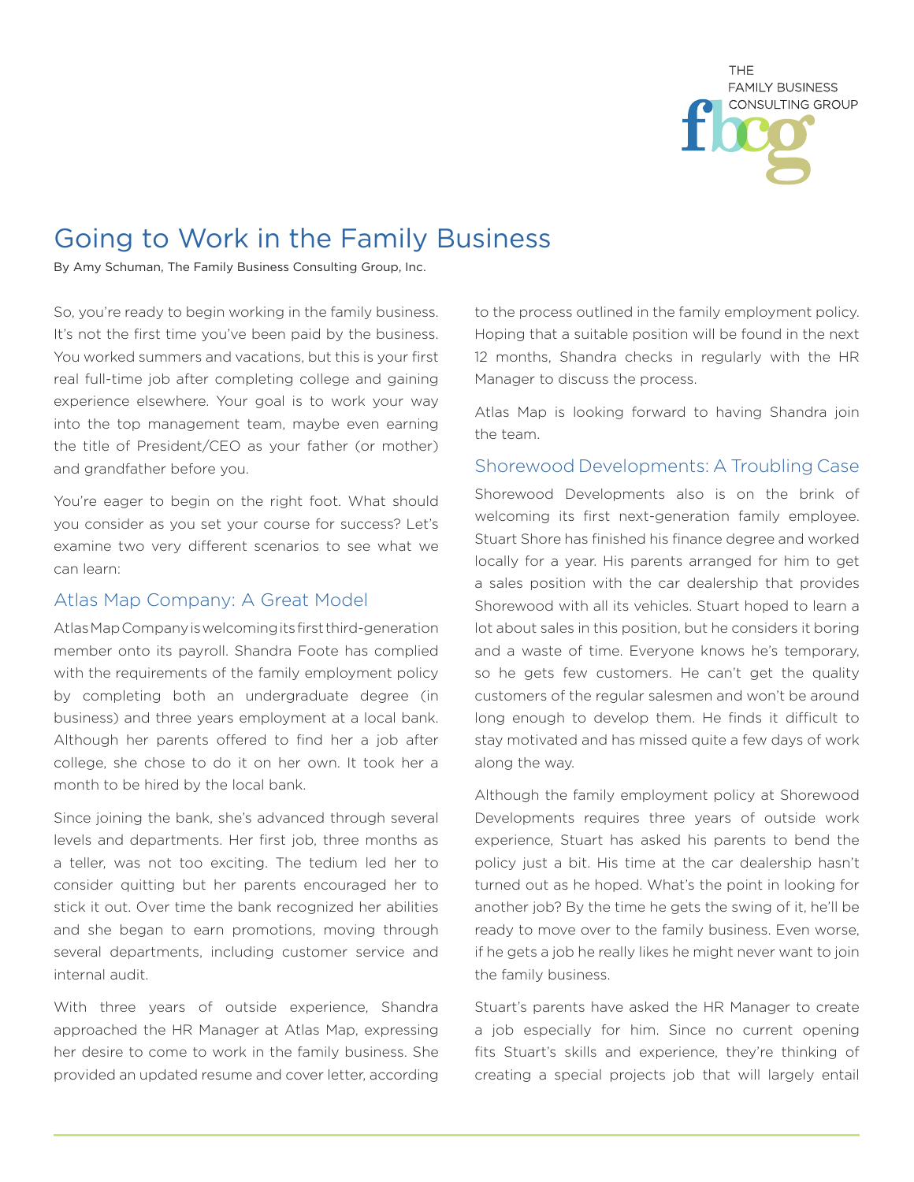

## Going to Work in the Family Business

By Amy Schuman, The Family Business Consulting Group, Inc.

So, you're ready to begin working in the family business. It's not the first time you've been paid by the business. You worked summers and vacations, but this is your first real full-time job after completing college and gaining experience elsewhere. Your goal is to work your way into the top management team, maybe even earning the title of President/CEO as your father (or mother) and grandfather before you.

You're eager to begin on the right foot. What should you consider as you set your course for success? Let's examine two very different scenarios to see what we can learn:

## Atlas Map Company: A Great Model

Atlas Map Company is welcoming its first third-generation member onto its payroll. Shandra Foote has complied with the requirements of the family employment policy by completing both an undergraduate degree (in business) and three years employment at a local bank. Although her parents offered to find her a job after college, she chose to do it on her own. It took her a month to be hired by the local bank.

Since joining the bank, she's advanced through several levels and departments. Her first job, three months as a teller, was not too exciting. The tedium led her to consider quitting but her parents encouraged her to stick it out. Over time the bank recognized her abilities and she began to earn promotions, moving through several departments, including customer service and internal audit.

With three years of outside experience, Shandra approached the HR Manager at Atlas Map, expressing her desire to come to work in the family business. She provided an updated resume and cover letter, according

to the process outlined in the family employment policy. Hoping that a suitable position will be found in the next 12 months, Shandra checks in regularly with the HR Manager to discuss the process.

Atlas Map is looking forward to having Shandra join the team.

## Shorewood Developments: A Troubling Case

Shorewood Developments also is on the brink of welcoming its first next-generation family employee. Stuart Shore has finished his finance degree and worked locally for a year. His parents arranged for him to get a sales position with the car dealership that provides Shorewood with all its vehicles. Stuart hoped to learn a lot about sales in this position, but he considers it boring and a waste of time. Everyone knows he's temporary, so he gets few customers. He can't get the quality customers of the regular salesmen and won't be around long enough to develop them. He finds it difficult to stay motivated and has missed quite a few days of work along the way.

Although the family employment policy at Shorewood Developments requires three years of outside work experience, Stuart has asked his parents to bend the policy just a bit. His time at the car dealership hasn't turned out as he hoped. What's the point in looking for another job? By the time he gets the swing of it, he'll be ready to move over to the family business. Even worse, if he gets a job he really likes he might never want to join the family business.

Stuart's parents have asked the HR Manager to create a job especially for him. Since no current opening fits Stuart's skills and experience, they're thinking of creating a special projects job that will largely entail